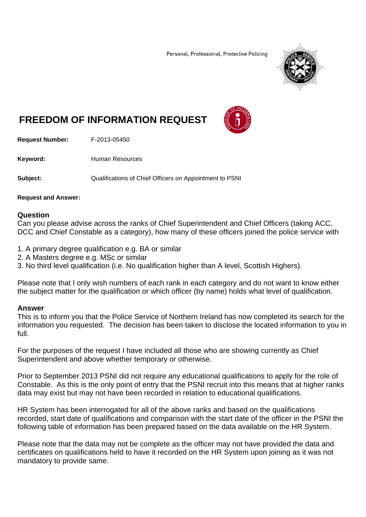Personal, Professional, Protective Policing



## **FREEDOM OF INFORMATION REQUEST**



**Request Number:** F-2013-05450

Keyword: **Human Resources** 

**Subject:** Qualifications of Chief Officers on Appointment to PSNI

## **Request and Answer:**

## **Question**

Can you please advise across the ranks of Chief Superintendent and Chief Officers (taking ACC, DCC and Chief Constable as a category), how many of these officers joined the police service with

- 1. A primary degree qualification e.g. BA or similar
- 2. A Masters degree e.g. MSc or similar
- 3. No third level qualification (i.e. No qualification higher than A level, Scottish Highers).

Please note that I only wish numbers of each rank in each category and do not want to know either the subject matter for the qualification or which officer (by name) holds what level of qualification.

## **Answer**

This is to inform you that the Police Service of Northern Ireland has now completed its search for the information you requested. The decision has been taken to disclose the located information to you in full.

For the purposes of the request I have included all those who are showing currently as Chief Superintendent and above whether temporary or otherwise.

Prior to September 2013 PSNI did not require any educational qualifications to apply for the role of Constable. As this is the only point of entry that the PSNI recruit into this means that at higher ranks data may exist but may not have been recorded in relation to educational qualifications.

HR System has been interrogated for all of the above ranks and based on the qualifications recorded, start date of qualifications and comparison with the start date of the officer in the PSNI the following table of information has been prepared based on the data available on the HR System.

Please note that the data may not be complete as the officer may not have provided the data and certificates on qualifications held to have it recorded on the HR System upon joining as it was not mandatory to provide same.